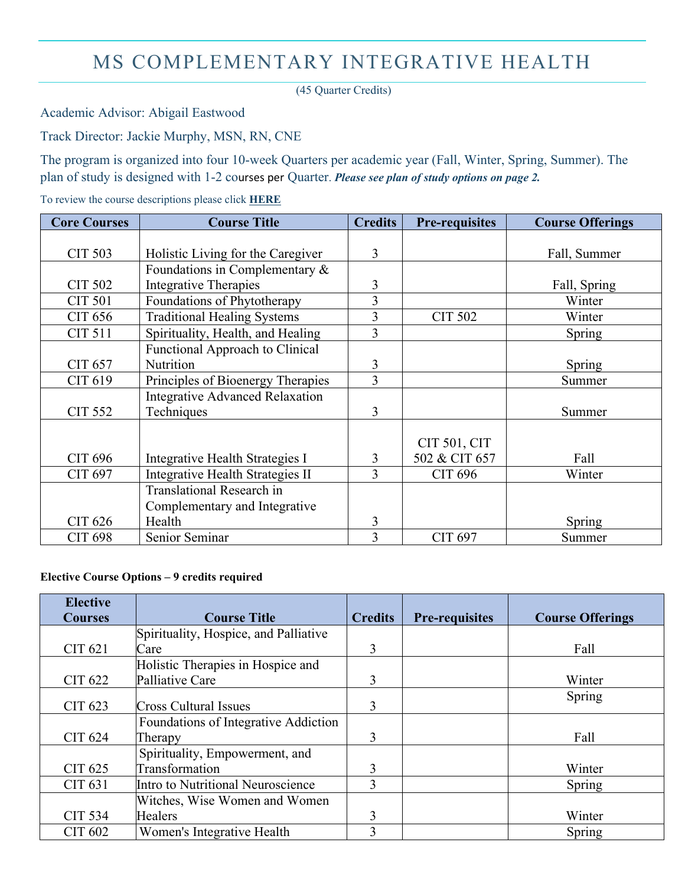# MS COMPLEMENTARY INTEGRATIVE HEALTH

(45 Quarter Credits)

Academic Advisor: Abigail Eastwood

Track Director: Jackie Murphy, MSN, RN, CNE

The program is organized into four 10-week Quarters per academic year (Fall, Winter, Spring, Summer). The plan of study is designed with 1-2 courses per Quarter. *Please see plan of study options on page 2.* 

To review the course descriptions please click **[HERE](http://catalog.drexel.edu/graduate/collegeofnursingandhealthprofessions/complementaryandintegrativehealth/index.html#degreerequirementstext)**

| <b>Core Courses</b> | <b>Course Title</b>                                       | <b>Credits</b> | <b>Pre-requisites</b> | <b>Course Offerings</b> |
|---------------------|-----------------------------------------------------------|----------------|-----------------------|-------------------------|
|                     |                                                           |                |                       |                         |
| <b>CIT 503</b>      | Holistic Living for the Caregiver                         | 3              |                       | Fall, Summer            |
|                     | Foundations in Complementary &                            |                |                       |                         |
| <b>CIT 502</b>      | Integrative Therapies                                     | 3              |                       | Fall, Spring            |
| <b>CIT 501</b>      | Foundations of Phytotherapy                               | $\overline{3}$ |                       | Winter                  |
| CIT 656             | 3<br><b>Traditional Healing Systems</b><br><b>CIT 502</b> |                |                       | Winter                  |
| <b>CIT 511</b>      | Spirituality, Health, and Healing                         | 3              |                       | Spring                  |
|                     | Functional Approach to Clinical                           |                |                       |                         |
| CIT 657             | Nutrition                                                 | 3              |                       | Spring                  |
| CIT 619             | Principles of Bioenergy Therapies                         | 3              |                       | Summer                  |
|                     | <b>Integrative Advanced Relaxation</b>                    |                |                       |                         |
| <b>CIT 552</b>      | Techniques                                                | 3              |                       | Summer                  |
|                     |                                                           |                |                       |                         |
|                     |                                                           |                | CIT 501, CIT          |                         |
| <b>CIT 696</b>      | Integrative Health Strategies I                           | 3              | 502 & CIT 657         | Fall                    |
| CIT 697             | Integrative Health Strategies II                          | 3              | CIT 696               | Winter                  |
|                     | <b>Translational Research in</b>                          |                |                       |                         |
|                     | Complementary and Integrative                             |                |                       |                         |
| <b>CIT 626</b>      | Health                                                    | 3              |                       | Spring                  |
| <b>CIT 698</b>      | Senior Seminar                                            | 3              | CIT 697               | Summer                  |

#### **Elective Course Options – 9 credits required**

| <b>Elective</b><br><b>Courses</b> | <b>Course Title</b>                   | <b>Credits</b> | <b>Pre-requisites</b> | <b>Course Offerings</b> |
|-----------------------------------|---------------------------------------|----------------|-----------------------|-------------------------|
|                                   | Spirituality, Hospice, and Palliative |                |                       |                         |
| CIT 621                           | Care                                  | 3              |                       | Fall                    |
|                                   | Holistic Therapies in Hospice and     |                |                       |                         |
| CIT 622                           | Palliative Care                       | 3              |                       | Winter                  |
| CIT 623                           | Cross Cultural Issues                 | 3              |                       | Spring                  |
|                                   | Foundations of Integrative Addiction  |                |                       |                         |
| CIT 624                           | Therapy                               | 3              |                       | Fall                    |
|                                   | Spirituality, Empowerment, and        |                |                       |                         |
| CIT 625                           | Transformation                        | 3              |                       | Winter                  |
| CIT 631                           | Intro to Nutritional Neuroscience     | 3              |                       | Spring                  |
|                                   | Witches, Wise Women and Women         |                |                       |                         |
| <b>CIT 534</b>                    | Healers                               | 3              |                       | Winter                  |
| CIT 602                           | Women's Integrative Health            | 3              |                       | Spring                  |